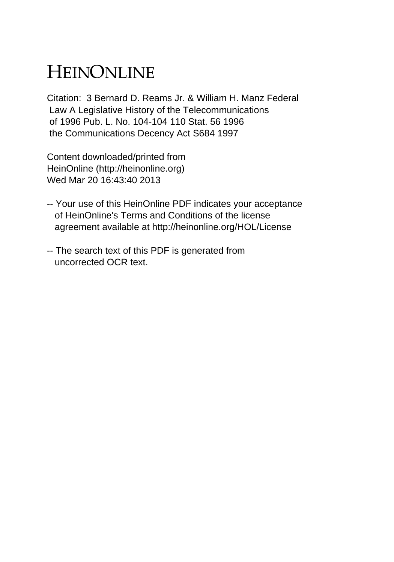# HEINONLINE

Citation: 3 Bernard D. Reams Jr. & William H. Manz Federal Law A Legislative History of the Telecommunications of 1996 Pub. L. No. 104-104 110 Stat. 56 1996 the Communications Decency Act S684 1997

Content downloaded/printed from HeinOnline (http://heinonline.org) Wed Mar 20 16:43:40 2013

- -- Your use of this HeinOnline PDF indicates your acceptance of HeinOnline's Terms and Conditions of the license agreement available at http://heinonline.org/HOL/License
- -- The search text of this PDF is generated from uncorrected OCR text.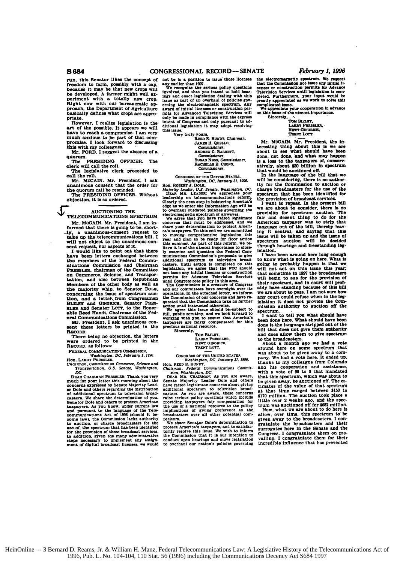run, this Senator likes the concept of freedom to **farm, possibly** with **a** cap. because it may be that new **crops** will be developed. **A** farmer might well experiment with **a** totally new crop. Right now with our bureaucratic **ap**proach, the Department of Agriculture basically defines what crops are appropriate.

However, I realize legislation is the art **of** the possible. It appears we will have to reach **a** compromise. I **am** very much anxious to be part of that com-promise. I look forward to discussing

this with my colleagues. **Mr.** FORD. **I** suggest the absence of **a**

quorum. The PRESIDING OFFICER. The

clerk will call the roll.<br>The legislative clerk proceeded to call the roll.

Mr. McCAIN. Mr. President, I ask

unanimous consent that the order for the quorum call be rescinded. The **PRESIDING** OFFICER. Without objection, it **is** so ordered.

.47 **AUCTIONING** THE. **TELECOMMUNICATIONS** SPECTRUM

Mr. MCCAIN. Mr. President, **I** am in**formed** that there **Is** going to be, short- *-,y,* **a** unanimous-consent request to take up the telecommunications **bill. I** will not object to the unanimous-consent request, nor aspects of it.

**I** would like to point out that there have been letters exchanged between the members of the Federal Communications Commission and Chairman **PRE8asLR,** chairman of the Committee on Commerce, Science, and Transpor-tation, and also between Republican Members of the other **body** as well as the majority whip, to Senator **DOLE,** concerning the issue of spectrum auc-<br>tion. and a lettek from Congressmen<br>BLILEY and GINGRICE. Senator PRES-SLEa **and** Senator **LOYT.** to the Honorable Reed Hundt. Chairman **of** the Federa Communications **Commission.**

Mr. President, **I** ask **unanimous con**sent these letters be printed **in** the **RECORD.**<br>There being no objection, the letters

There being no objection, the letters were ordered to **be** printed In the RECORD, as follows:

**FEDERAL** COMMUNICATIONS **COMMISSION.**

**CONSIGNATION**<br>Hon. LARRY PRESSLER, Commerce, Science and<br>Chairman, Committee on Commerce, Science and<br>Transportation, U.S. Senate, Washington,<br>DC.

**DEAR** CHAIRMAN PRESSLER: Thank **yOU** very much for your letter this **morning** about the concerns expreosed **by** Senate Majority Lead- er **Dole and** others regarding the distribution **of** additional spectrum to television broadcasters. We share the determination of you. Senator Dole **and** others to protect American taxpayers. As you know, under current law and pursuant to the language of the Tele-communications Act of 1996 (should it be- communication lacks authority commission action, or charge broadcasters for the condition, or charge broadcasters for the provision of the provision of these broadcast services. In addition, given the many administrative steps necessary to implement any **assign-** ment **of** digital broadcast licenses. we would

not **be** in **a** position to **Issue** those licenses **any** earlier than **1597.** We recognize the serious policy questions Involved. and that **you** Intend to **hold hear-**ings and enact legislation dealing with this issue as part of **an** overhaul **of** policies governing the electromagnetic spectrum. **Any** award of initial licenses or construction per-mite for Advanced Television Services will only be made in compliance with the **express**

intent of Congress **and** only pursuant to **ad-**ditional legislation it may adopt resolving this issue.

Very truly yours,

*REa=* **E.** HUMPr. **Chairman. JAMES** *H.* **QUtLLO.** Commissioner,<br>ANDREW C. BARRETT. ANDREW **C.** BARRETT, Commissione SUSAN **NESa.** Commissioner. RatciHsLs **B.** CHONG.

## Commismioner.

**CONGRESS OF THE UNITED STATES.** *Wahington.* **DC.** *January 31.1996.*

Hon. ROBERT **J.** DOLE *Majority* Lender. *U.S.* **Senate.** *Washington, DC.* DEAR MR. LEADER: We appreciate your leadership on telecommunIcations reform. Clearly the next step in bolstering America's edge **as** we enter the Information **Age** will be to overhaul outdated policies governing the electromagnetic spectrum or airwaves. We **agree** that **you** have raised legitimate

concerns that must be addressed. **and** we **share** your determination to protect Ameri-ca's taxpayers. To this end **we are** committed to moving comprehensive legislation this **year and plan** to be ready for **floor** action this summer. As part of this reform. we bethey it is of the atmost importance to close-<br>lieve it is of the atmost importance to close-<br>munications Commission's proposals to give<br>additional spectrum to television broad-<br>casters. Until action is completed on this<br>is

until Congress Sets policy In this **area** The Commission **is a** creature **of** Congress **and** our committees have oversight over its operations. In the **attached** letter, we Inform the Commission **of our** concerns **and** have **re-**quested that the Commisslon take no further action until Instructed otherwise. We **aree** this ame should **be~subject** to

**fall.** public Scrutiny, **and** we **look** forward to working with you to **ensure** that America's **taxpayers are** fairly compensated for this precious national resource.

### Sincerely, **TOM BLILEY** LARRY PaSSSLXe. **NEWT GINORICH.** TRENT **LoTY.**

CONGRESS OF THE UNITED STATES,<br>Washington, DC, January 37, 1996.<br>Hon. REED E. HUNDT,<br>DEAR MR. Washington, DC.<br>DEAR MR. CHAIRMAN: As you are aware,<br>DEAR MR. CHAIRMAN: As you are aware,<br>Senate Majority Leader Dole and others additional spectrum to television broad-casters. **As you are** aware, **these** concerns raise serious policy questions which include providing taxpayers fair compensation for the use of a national resource to the policy implications of giving preference to the broadcasters over **all** other potential competitors.

We share Senalor Dole's determination **to.** protect America's taxpayers, and **to** satisfac-torily resolve this issue. We wish to inform the Commission that It **is** our intention to conduct open hearings **and** move legislation to overhaul our nation's policies **governing**

the electromagnetic spectrum. We request that the Commission not issue any initial litenses or construction permits **for** Advance Television Services until legislation **In** com-plted. Furthermore, **your** Input would **be** greatly appreciated **as** we work to solve this complicated **issue.** We appreciate your cooperation **In** advance on this **ios** of the utmost Importance.

Sincerely.<br> **TOM BLILEY.**<br> **LARRY PRESSLER<br>
NEWY GINORICH.<br>
TREAT LOTT.** 

Mr. **MCCAIN. Mr.** President, the Interesting thing **about** this **is** we are about to **ses** what should have been done, not done, and what may happen is a lose to the taxpayers **of.** conserv-atively, about **130** billion **in** spectrum that would **be** auctioned off. In the language of the **bill** that we

will be considering, there Is **no** authority for the Commission to auction or charge broadcasters for the **use** of the spectrum that has been Identified for the provision of broadcast services.

**<sup>I</sup>**want to repeat. In the present bill we are about to consider. there is no provision for spectrum auction. The fair and decent thing to do for **the** American taxpayer was to strip that language out of the bill, thereby leaving it neutral, and saying that this issue will **be** taken up and the issue of spectrum auction will be decided<br>through hearings and freestanding **legislation. I** have been around here long enough

to know what is going on here. What **in** going to probably happen **Is** that we will not act on this issue this year, that sometime **in 1997** the broadcasters will begin to sue for the provision of their spectrum, and In court will prob-**ably** have standing because of **this bill,** we are about to pas. **I** am not sure how **any** court could refuse when in the legislation it does not provide the Corn-**mission** authority to auction off the

spectrum.<br> **I** want to tell you what should have<br>been done here. What should have been been done here. What should have been<br>done is the language stripped out of the **bill** that does not give them Authority and does allow them to give spectrum to the broadcasters. About a month ago we had a vote

around here on some spectrum that was about to be given away to a company. We **had** a vote here. It ended **up,** thanks to my colleague from Colorado and his cooperation and asistance, with a vote of **98** to **0** that mandated that this spectrum, which wai about to be given away, be auctioned off. The estimates of the value of that spectrum at that time ranged between **\$150** to **\$170** million. The auction took place a little over 2 weeks ago, and the spectrum was auctioned off for **1682** million.

Now, what we are about to do here **is** allow, over time, this spectrum to be given away to the broadcasters. I congratulate the broadcasters and their surrogates here in the Senate and the Congress. **I** congratulate them on prevailing. **I** congratulate them for their incredible Influence that has prevented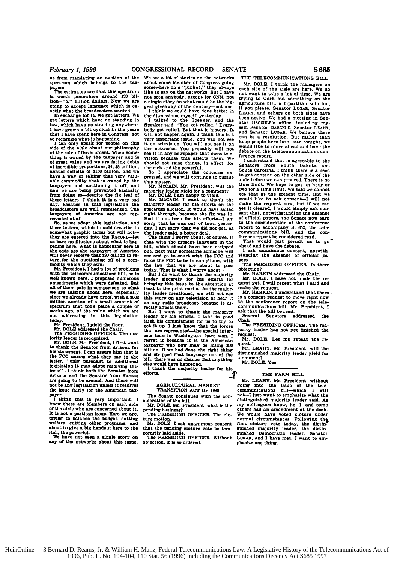**Us** from mandating an auction of the spectrum which belongs to the tax-

payers.<br>The estimates are that this spectrum In worth somewhere around **\$30 bil- lion-**"b," **billion** dollars. Now we are going to accept language which is ex-

going to accept language which is ex-<br>actly what the broadcasters wanted.<br>In exchange for it, we get letters. We<br>get letters which have no standing in get letters which have no standing in<br>haw, which have no standing anywhere.<br>I have grown a bit cynical in the years<br>that I have spent here in Congress, not<br>to recognize what is happening.<br>Let or congring in the single abou

thing is owned **by** the taxpayer and is of great value and we are facing debts of **3150** billion, and we have a way of taking that very valu-<br>have a way of taking that very valu-<br>able commodity that is owned by the able commodity that is owned **by** the taxpayers and auctioning it off. and now we are being prevented basically from doing so--despite the fig leaf of these letters-I think it is a very sad day. Because in this legislation the broadcasters are well represented. The taxpayers of America are not rep-resented at all.

resented at all. So, as we adopt this legislation, and these letters, which **I** could describe in somewhat graphic terms but whil not-<br>they are entered into the RECORD-let<br>us have no illusions about what is hap-<br>pening her pening here. What **is** happening here **is** the odds are the taxpayers of America will never receive that **130** billion in re- turn.for the auctioning off of **a** com-

with the telecommunications bill, as is<br>well known here. I proposed numerous<br>amendments which were defeated. But<br>all of them pale in comparison to what<br>we are talking about here, especially since we already have proof, with a **<sup>9682</sup>** million auction of a small amount of spectrum that took place **a** couple of weeks ago, of the value which we are not addressing in this legislation today.<br>Mr. President, I yield the floor.<br>Mr. DOLE addressed the Chair.

The PRESEDING OFFICER. The maintainst measurement of the MC and the Senator from Arizona for the Senator from Arizona for the Senator from Arizona for the FCC means what it has if the letter, "only pursuant to additional l issue"--I think both the Senator from<br>Arizona and the Senator from Kansas<br>are going to be around. And there will<br>not be any legislation unless it resolves<br>the issue fairly for the American taxpayer.

**<sup>I</sup>**think this **Is** very important. **<sup>I</sup>** know there are Members on each side **of** the **aisle** who are concerned about it. It **is** not a partisan issue. Here we are, welfare, cutting other programs, and about to give a big handout here to the

rich, the powerful. We have not seen **a** single story on any **of** the networks about this issue.

spectrum auction. It would have sailed right through, because the fix was in. Had it not been for his efforts-I am sorry that he was out of town yester-

The thing I worry about, of course, is ference report be considered read.<br>The thing I worry about, of course, is ference report be considered read.<br>that with the present language in the That would just permit us to go-<br>bil bill, which should have been stripped ahead and have the debate. out, next year sometime someone will **I** ask **unanimous** consent, notwithsue and go to court with the **FCC** and standing the absence of official pa-<br>force the FCC to be in compliance with  $per_{\text{per}}$ force the **FCCC to be In compliance with the rest in PRESIDING** OFFICER. Is there today, That is what I worry about to objection? to haw that we are about to pass<br>bday. That is what I worry about.<br>But I do want to thank the majority

But I do want to thank the majority Mr. HARKIN addressed the Chair.<br>leader sincerely for his efforts for Mr. DOLE. I have not made the re-<br>bringing this issue to the attention at Quest yet. I will repeat what I said and leader sincerely for his efforts for<br>bringing this issue to the attention at<br>least to the print media. As the major-<br>ity leader mentioned. we will not see It is a set of the print media. As the major-<br>Its leader mentioned, we will not see Mr. **HARKIN.** I understand that there.<br>this story on any television or hear it is a consent request to move right now<br>this story on any te

on any radio broadcast because it di-<br>communications bill. Mr. President, I<br>But I want to thank the majority ask that the bill be read.<br>leader for his efforts. I take in good Several Senators addressed the<br>faith his commit faith his commitment for us to try to Chair.<br>get it up. I just know that the forces The PRESIDING OFFICER. The ma-<br>get it up. I just know that the forces The PRESIDING OFFICER. The ma-<br>that are represented—the special inte that are represented-the special inter- Jority leader has not yet finished the eats here in Washington-have won. I request. regret it because it **is** the American Mr. **DOLE.** Let me repeat the re-taxpayer who now may be losing **\$30** quest.' **.** billion. **If** we had done the right thing Mr. LEAHY. Mr. President, will the and stripped that language out of the distinguished majority leader yield for oution. If we may use the may use the distinguished majority leader yield for<br>bill, there was no chance that anything a moment?<br>also would have been<br>moment? Mr. DOLE. Yes.

else would have happened.<br>I thank the majority leader for his efforts.<br>I Thank the majority leader for his efforts.

We see a lot of stories on the networks THE TELECOMMUNICATIONS BILL<br>about some Member of Congress going Mr. DOLE. I think the managers on<br>somewhere on a "junket," they always each side of the ailse are here. We do<br>somewhe will not happen again. I think this is a can be<br>nator LUGAR. We believe there wery important issue. You will not see can be a resolution. But rather than<br>the original rather than the set is on the people here late. Late to

vision because this affects them. We **I understand that is agreeable to the**<br>should not raise things, in effect, for **Senators** from South Dakota and<br>the rich and the powerful.<br>So I annexelate the concerns ex. South Caroli show the rich and the powerful.<br>
Senators from South Dakota and<br>
So I appreciate the concerns ex-South Carolina. I think there is a need<br>
one and the weill continue to pursue also be consent on the other side of the<br>
this make the request now, but if we can get it cleared, I would simply ask consent that, notwithstanding the absence of official papers, the Senate now turn sorry that he was out of town yester-<br>to the consideration of the conference<br>the leader said, a better deal. or communications bill, and the con-<br>the leader said, a better deal. communications bill, and the con-

this story on any television or hear it is a consent request to move right now on any radio broadcast because it **dl-** to the conference report on the tele-

Mr. LEAHY. Mr. President. without **AGRICULTURAL MARKET** going into the issue of the tele-<br>TRANSITION ACT OF 1996 communications bill-which I will<br>Senate continued with the con-<br>mot--I just want to emphasize what the The Senate continued with the con- $100 - 1$  just want to emphasize what the deration of the bill distinguished majority leader said. As sideration of the bill. distinguished majority leader said. As Mr. DOLE. Mr. President, what is the my colleagues know, he, I, and some college business?<br>The PRESIDENG OFFICER. The clo-We would have voted cloture under pending business?<br>The PRESIDENG OFFICER. The close was an amenume we would have voted cloture under<br>ture motion. Leak unanimous consent first cloture vote today, the distin-<br>busine that the pending cloture vote be term-sui

HeinOnline -- 3 Bernard D. Reams, Jr. & William H. Manz, Federal Telecommunications Law: A Legislative History of the Telecommunications Act of 1996, Pub. L. No. 104-104, 110 Stat. 56 (1996) including the Communications Decency Act S685 1997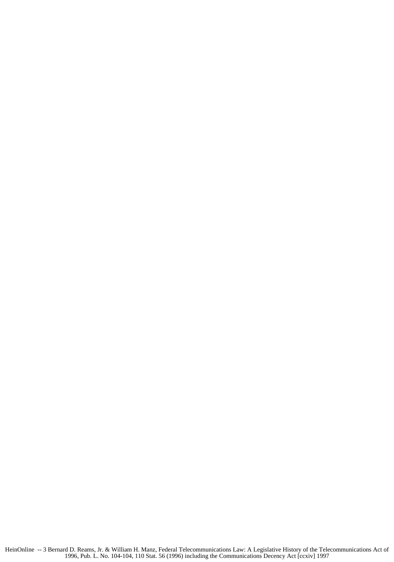HeinOnline -- 3 Bernard D. Reams, Jr. & William H. Manz, Federal Telecommunications Law: A Legislative History of the Telecommunications Act of 1996, Pub. L. No. 104-104, 110 Stat. 56 (1996) including the Communications Decency Act [ccxiv] 1997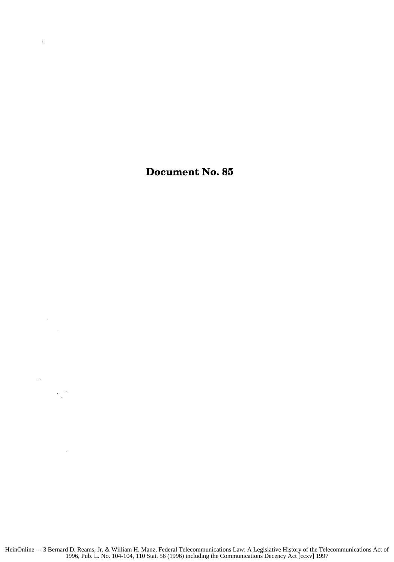## Document No. **85**

 $\ddot{\phantom{a}}$ 

 $\Delta\sigma_{\rm{eff}}$ 

 $\label{eq:2} \frac{1}{\sqrt{2}}\left(\frac{1}{\sqrt{2}}\right)^{\frac{1}{2}}\frac{1}{\sqrt{2}}\left(\frac{1}{\sqrt{2}}\right)^{\frac{1}{2}}\frac{1}{\sqrt{2}}\left(\frac{1}{\sqrt{2}}\right)^{\frac{1}{2}}\frac{1}{\sqrt{2}}\left(\frac{1}{\sqrt{2}}\right)^{\frac{1}{2}}\frac{1}{\sqrt{2}}\left(\frac{1}{\sqrt{2}}\right)^{\frac{1}{2}}\frac{1}{\sqrt{2}}\left(\frac{1}{\sqrt{2}}\right)^{\frac{1}{2}}\frac{1}{\sqrt{2}}\left(\frac{1}{\sqrt{2$ 

 $\mathcal{L}$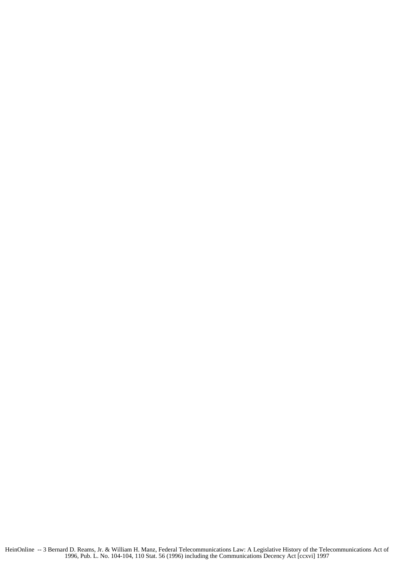HeinOnline -- 3 Bernard D. Reams, Jr. & William H. Manz, Federal Telecommunications Law: A Legislative History of the Telecommunications Act of 1996, Pub. L. No. 104-104, 110 Stat. 56 (1996) including the Communications Decency Act [ccxvi] 1997